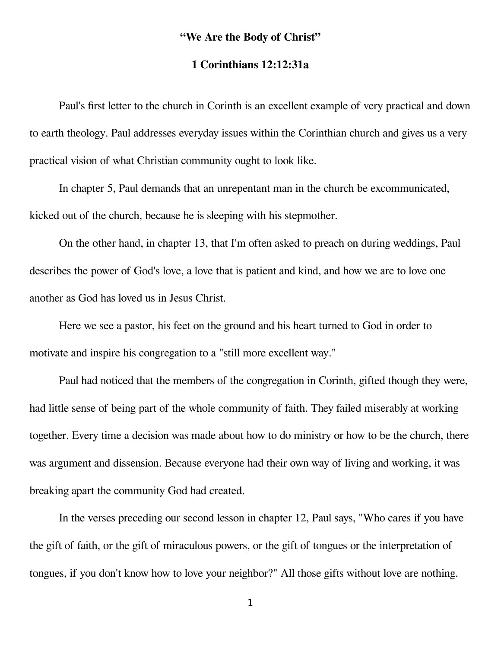## **"We Are the Body of Christ"**

## **1 Corinthians 12:12:31a**

Paul's first letter to the church in Corinth is an excellent example of very practical and down to earth theology. Paul addresses everyday issues within the Corinthian church and gives us a very practical vision of what Christian community ought to look like.

In chapter 5, Paul demands that an unrepentant man in the church be excommunicated, kicked out of the church, because he is sleeping with his stepmother.

On the other hand, in chapter 13, that I'm often asked to preach on during weddings, Paul describes the power of God's love, a love that is patient and kind, and how we are to love one another as God has loved us in Jesus Christ.

Here we see a pastor, his feet on the ground and his heart turned to God in order to motivate and inspire his congregation to a "still more excellent way."

Paul had noticed that the members of the congregation in Corinth, gifted though they were, had little sense of being part of the whole community of faith. They failed miserably at working together. Every time a decision was made about how to do ministry or how to be the church, there was argument and dissension. Because everyone had their own way of living and working, it was breaking apart the community God had created.

In the verses preceding our second lesson in chapter 12, Paul says, "Who cares if you have the gift of faith, or the gift of miraculous powers, or the gift of tongues or the interpretation of tongues, if you don't know how to love your neighbor?" All those gifts without love are nothing.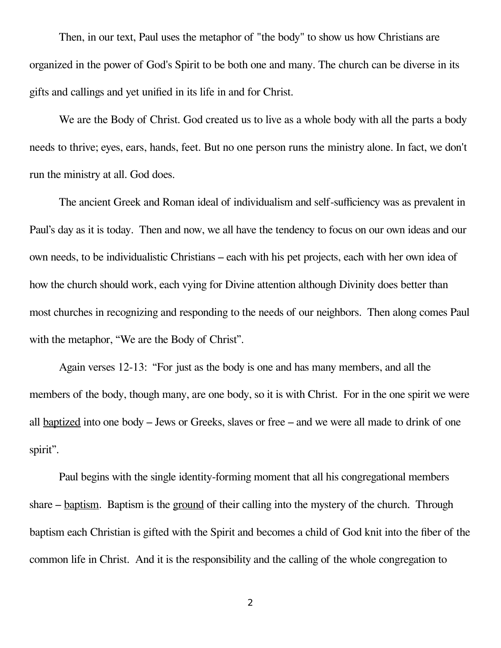Then, in our text, Paul uses the metaphor of "the body" to show us how Christians are organized in the power of God's Spirit to be both one and many. The church can be diverse in its gifts and callings and yet unified in its life in and for Christ.

We are the Body of Christ. God created us to live as a whole body with all the parts a body needs to thrive; eyes, ears, hands, feet. But no one person runs the ministry alone. In fact, we don't run the ministry at all. God does.

The ancient Greek and Roman ideal of individualism and self-sufficiency was as prevalent in Paul's day as it is today. Then and now, we all have the tendency to focus on our own ideas and our own needs, to be individualistic Christians – each with his pet projects, each with her own idea of how the church should work, each vying for Divine attention although Divinity does better than most churches in recognizing and responding to the needs of our neighbors. Then along comes Paul with the metaphor, "We are the Body of Christ".

Again verses 12-13: "For just as the body is one and has many members, and all the members of the body, though many, are one body, so it is with Christ. For in the one spirit we were all baptized into one body – Jews or Greeks, slaves or free – and we were all made to drink of one spirit".

Paul begins with the single identity-forming moment that all his congregational members share – baptism. Baptism is the ground of their calling into the mystery of the church. Through baptism each Christian is gifted with the Spirit and becomes a child of God knit into the fiber of the common life in Christ. And it is the responsibility and the calling of the whole congregation to

2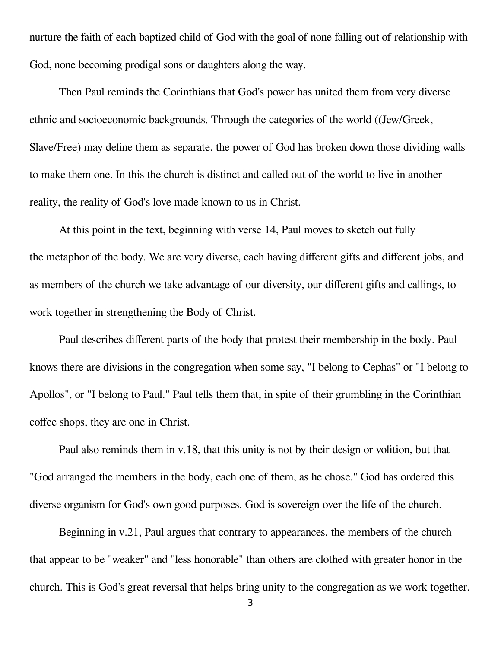nurture the faith of each baptized child of God with the goal of none falling out of relationship with God, none becoming prodigal sons or daughters along the way.

Then Paul reminds the Corinthians that God's power has united them from very diverse ethnic and socioeconomic backgrounds. Through the categories of the world ((Jew/Greek, Slave/Free) may define them as separate, the power of God has broken down those dividing walls to make them one. In this the church is distinct and called out of the world to live in another reality, the reality of God's love made known to us in Christ.

At this point in the text, beginning with verse 14, Paul moves to sketch out fully the metaphor of the body. We are very diverse, each having different gifts and different jobs, and as members of the church we take advantage of our diversity, our different gifts and callings, to work together in strengthening the Body of Christ.

Paul describes different parts of the body that protest their membership in the body. Paul knows there are divisions in the congregation when some say, "I belong to Cephas" or "I belong to Apollos", or "I belong to Paul." Paul tells them that, in spite of their grumbling in the Corinthian coffee shops, they are one in Christ.

Paul also reminds them in v.18, that this unity is not by their design or volition, but that "God arranged the members in the body, each one of them, as he chose." God has ordered this diverse organism for God's own good purposes. God is sovereign over the life of the church.

Beginning in v.21, Paul argues that contrary to appearances, the members of the church that appear to be "weaker" and "less honorable" than others are clothed with greater honor in the church. This is God's great reversal that helps bring unity to the congregation as we work together.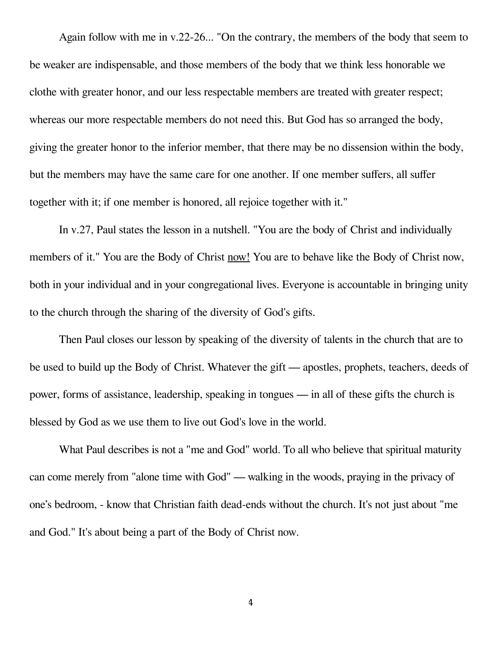Again follow with me in v.22-26... "On the contrary, the members of the body that seem to be weaker are indispensable, and those members of the body that we think less honorable we clothe with greater honor, and our less respectable members are treated with greater respect; whereas our more respectable members do not need this. But God has so arranged the body, giving the greater honor to the inferior member, that there may be no dissension within the body, but the members may have the same care for one another. If one member suffers, all suffer together with it; if one member is honored, all rejoice together with it."

In v.27, Paul states the lesson in a nutshell. "You are the body of Christ and individually members of it." You are the Body of Christ now! You are to behave like the Body of Christ now, both in your individual and in your congregational lives. Everyone is accountable in bringing unity to the church through the sharing of the diversity of God's gifts.

Then Paul closes our lesson by speaking of the diversity of talents in the church that are to be used to build up the Body of Christ. Whatever the gift — apostles, prophets, teachers, deeds of power, forms of assistance, leadership, speaking in tongues — in all of these gifts the church is blessed by God as we use them to live out God's love in the world.

What Paul describes is not a "me and God" world. To all who believe that spiritual maturity can come merely from "alone time with God" — walking in the woods, praying in the privacy of one's bedroom, - know that Christian faith dead-ends without the church. It's not just about "me and God." It's about being a part of the Body of Christ now.

4